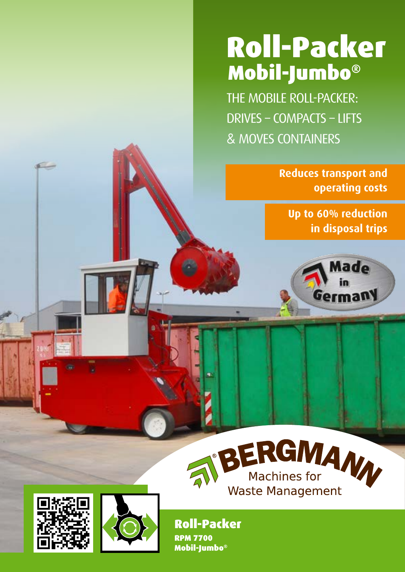# Roll-Packer Mobil-Jumbo®

The Mobile Roll-Packer: Drives – Compacts – Lifts & Moves Containers

> **Reduces transport and operating costs**

**Up to 60% reduction in disposal trips**





Roll-Packer RPM 7700 Mobil-Jumbo®



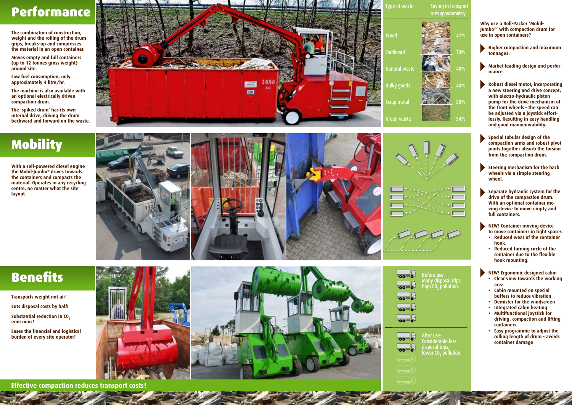The machine is also available with an optional electrically driven compaction dr<mark>um</mark>. der

!





Bergmann 4-4 27.05.2010 17:10:18 27.05.2010 17:10:2010 17:10:2010 17:10:2010 17:10:2010 17:10:2010 17:10:2010

Considerable less disposal trips, lower CO<sub>2</sub> pollution.

#### Type of waste Saving in transport costs approximately

## LEUR LING Performance

#### nenes<br><u>.</u> Benefits

### white<sub>y</sub> Mobility



- **Higher compaction and maximum**<br>**Higher compaction and maximum tonnages.**
- **Market leading design and perforz** mance.
- **Robust diesel motor, incorporating** with electro-hydraulic piston pump for the drive mechanism of **a new steering and drive concept, the front wheels - the speed can be adjusted via a joystick effort lessly. Resulting in easy handling and good manoeuvrability.**
- **Compaction arms and robust pivot joints together absorb the torsion Special tubular design of the from the compaction drum.**
- Robuster Dieselmotor, dazu ein neues Steering mechanism for the back wheels via a simple steering wheel.
- Geschwindig keit stufenlos über einen **drive of the compaction drum. With an optional container mo**full containers. **Separate hydraulic system for the ving device to move empty and**
- **to move containers in tight spaces** • Reduced wear of the container **NEW! Container moving device**

schem Lenkrad.

**D** 

- **•** Reduced turning circle of the **hook.**
- volle Container rangiert we rden können. **container due to the flexible hook mounting.**

**MEW! Ergonomic designed cabin** 

#### mit Ve rdichtungswalze zum Einsatz in **Jumbo<sup>®'</sup> with compaction drum for** kenwalze" **Why use a Roll-Packer 'Mobiluse in open containers?**

- **• Clear view towards the working area**
- Cabin mounted on special **buffers to reduce vibration**
- **•** Demister for the windscreen
- als die Häl fte reduziert. **• Integrated cabin heating**
- driving, compaction and lifting für die CO -Bilanz . **containers • Multifunctional joystick for**
- 2 **• Easy programme to adjust the**  Weniger Fahrten, weniger Emissionen. **container damage rolling length of drum - avoids**

weight and the roming of the drui<br>grips, breaks-up and compresses fäll **weight and the rolling of the drum**  the material in an open container. **The combination of construction,** 

Low fuel consumption, only **approximately 4 litre/hr.**

Rangiert leere und gefüllte **(up to 12 tonnes gross weight)**  C o n **around site.** tainer auf I **Moves empty and full containers** 

The 'spiked drum' has its own **internal drive, driving the drum backward and forward on the waste.**

the Mobil-Jumbo® drives towards the containers and compacts the an und verdichtet das M **centre, no matter what the site**  aterial **material. Operates in any recycling With a self-powered diesel engine layout.**



![](_page_1_Picture_10.jpeg)

![](_page_1_Picture_11.jpeg)

Substantial reduction in CO<sub>2</sub> **emissions!**

**Eases the financial and logistical burden of every site operator!**

![](_page_1_Picture_19.jpeg)

**OO** 

![](_page_1_Picture_23.jpeg)

![](_page_1_Picture_24.jpeg)

**Before use:** Many disposal trips, high CO $_{2}$  pollution.

**Effective compaction reduces transport costs!**

**Transports weight not air!**

**Cuts disposal costs by half!**